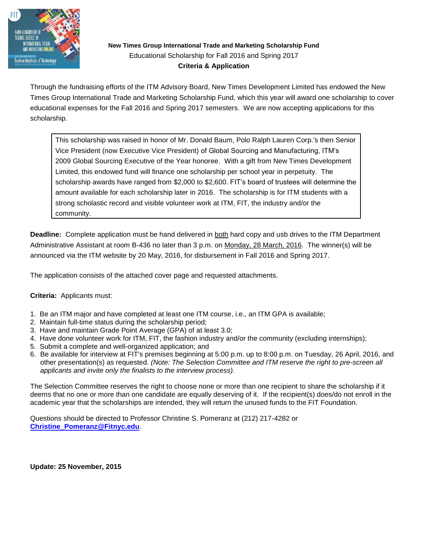

## **New Times Group International Trade and Marketing Scholarship Fund** Educational Scholarship for Fall 2016 and Spring 2017 **Criteria & Application**

Through the fundraising efforts of the ITM Advisory Board, New Times Development Limited has endowed the New Times Group International Trade and Marketing Scholarship Fund, which this year will award one scholarship to cover educational expenses for the Fall 2016 and Spring 2017 semesters. We are now accepting applications for this scholarship.

This scholarship was raised in honor of Mr. Donald Baum, Polo Ralph Lauren Corp.'s then Senior Vice President (now Executive Vice President) of Global Sourcing and Manufacturing, ITM's 2009 Global Sourcing Executive of the Year honoree. With a gift from New Times Development Limited, this endowed fund will finance one scholarship per school year in perpetuity. The scholarship awards have ranged from \$2,000 to \$2,600. FIT's board of trustees will determine the amount available for each scholarship later in 2016. The scholarship is for ITM students with a strong scholastic record and visible volunteer work at ITM, FIT, the industry and/or the community.

**Deadline:** Complete application must be hand delivered in both hard copy and usb drives to the ITM Department Administrative Assistant at room B-436 no later than 3 p.m. on Monday, 28 March, 2016. The winner(s) will be announced via the ITM website by 20 May, 2016, for disbursement in Fall 2016 and Spring 2017.

The application consists of the attached cover page and requested attachments.

## **Criteria:** Applicants must:

- 1. Be an ITM major and have completed at least one ITM course, i.e., an ITM GPA is available;
- 2. Maintain full-time status during the scholarship period;
- 3. Have and maintain Grade Point Average (GPA) of at least 3.0;
- 4. Have done volunteer work for ITM, FIT, the fashion industry and/or the community (excluding internships);
- 5. Submit a complete and well-organized application; and
- 6. Be available for interview at FIT's premises beginning at 5:00 p.m. up to 8:00 p.m. on Tuesday, 26 April, 2016, and other presentation(s) as requested. *(Note: The Selection Committee and ITM reserve the right to pre-screen all applicants and invite only the finalists to the interview process).*

The Selection Committee reserves the right to choose none or more than one recipient to share the scholarship if it deems that no one or more than one candidate are equally deserving of it. If the recipient(s) does/do not enroll in the academic year that the scholarships are intended, they will return the unused funds to the FIT Foundation.

Questions should be directed to Professor Christine S. Pomeranz at (212) 217-4282 or **[Christine\\_Pomeranz@Fitnyc.edu](mailto:Christine_Pomeranz@Fitnyc.edu)**.

**Update: 25 November, 2015**